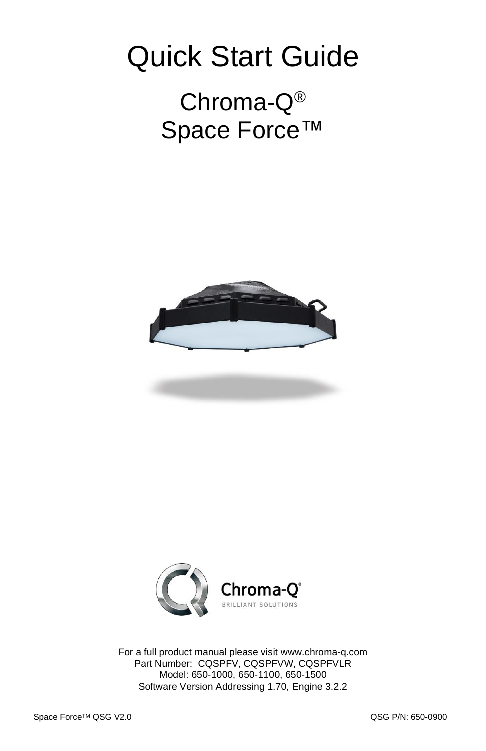# Quick Start Guide

# Chroma-Q® Space Force™





For a full product manual please visit [www.chroma-q.com](http://www.chroma-q.com/) Part Number: CQSPFV, CQSPFVW, CQSPFVLR Model: 650-1000, 650-1100, 650-1500 Software Version Addressing 1.70, Engine 3.2.2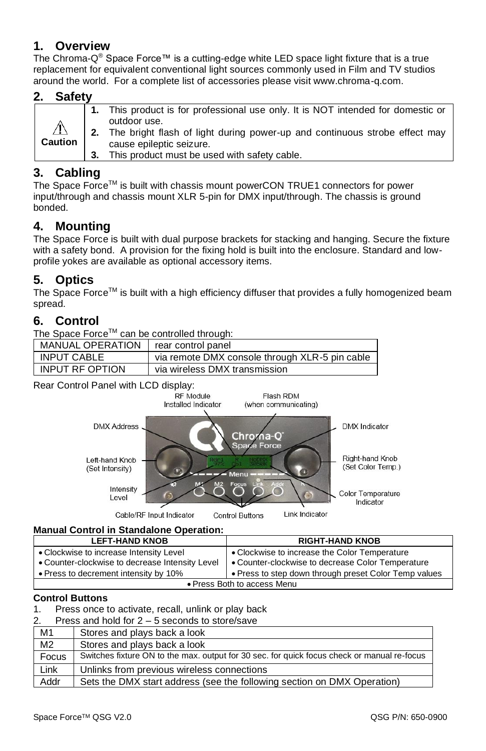# **1. Overview**

The Chroma-Q ® Space Force™ is a cutting-edge white LED space light fixture that is a true replacement for equivalent conventional light sources commonly used in Film and TV studios around the world. For a complete list of accessories please visit www.chroma-q.com.

#### **2. Safety**

| $\triangle$<br><b>Caution</b> | 1. This product is for professional use only. It is NOT intended for domestic or<br>outdoor use.<br>2. The bright flash of light during power-up and continuous strobe effect may<br>cause epileptic seizure.<br>This product must be used with safety cable. |
|-------------------------------|---------------------------------------------------------------------------------------------------------------------------------------------------------------------------------------------------------------------------------------------------------------|
|-------------------------------|---------------------------------------------------------------------------------------------------------------------------------------------------------------------------------------------------------------------------------------------------------------|

## **3. Cabling**

The Space Force<sup>TM</sup> is built with chassis mount powerCON TRUE1 connectors for power input/through and chassis mount XLR 5-pin for DMX input/through. The chassis is ground bonded.

# **4. Mounting**

The Space Force is built with dual purpose brackets for stacking and hanging. Secure the fixture with a safety bond. A provision for the fixing hold is built into the enclosure. Standard and lowprofile yokes are available as optional accessory items.

### **5. Optics**

The Space Force™ is built with a high efficiency diffuser that provides a fully homogenized beam spread.

# **6. Control**

The Space Force™ can be controlled through:

| <b>MANUAL OPERATION</b> | rear control panel                             |  |  |
|-------------------------|------------------------------------------------|--|--|
| <b>INPUT CABLE</b>      | via remote DMX console through XLR-5 pin cable |  |  |
| INPUT RF OPTION         | via wireless DMX transmission                  |  |  |

Rear Control Panel with LCD display:<br>RF Module



#### **Manual Control in Standalone Operation:**

| <b>LEFT-HAND KNOB</b>                           | <b>RIGHT-HAND KNOB</b>                                |  |  |  |
|-------------------------------------------------|-------------------------------------------------------|--|--|--|
| • Clockwise to increase Intensity Level         | • Clockwise to increase the Color Temperature         |  |  |  |
| • Counter-clockwise to decrease Intensity Level | • Counter-clockwise to decrease Color Temperature     |  |  |  |
| • Press to decrement intensity by 10%           | • Press to step down through preset Color Temp values |  |  |  |
| • Press Both to access Menu                     |                                                       |  |  |  |

#### **Control Buttons**

1. Press once to activate, recall, unlink or play back

2. Press and hold for 2 – 5 seconds to store/save

| M1             | Stores and plays back a look                                                                |  |  |  |
|----------------|---------------------------------------------------------------------------------------------|--|--|--|
| M <sub>2</sub> | Stores and plays back a look                                                                |  |  |  |
| Focus          | Switches fixture ON to the max, output for 30 sec, for quick focus check or manual re-focus |  |  |  |
| Link           | Unlinks from previous wireless connections                                                  |  |  |  |
| Addr           | Sets the DMX start address (see the following section on DMX Operation)                     |  |  |  |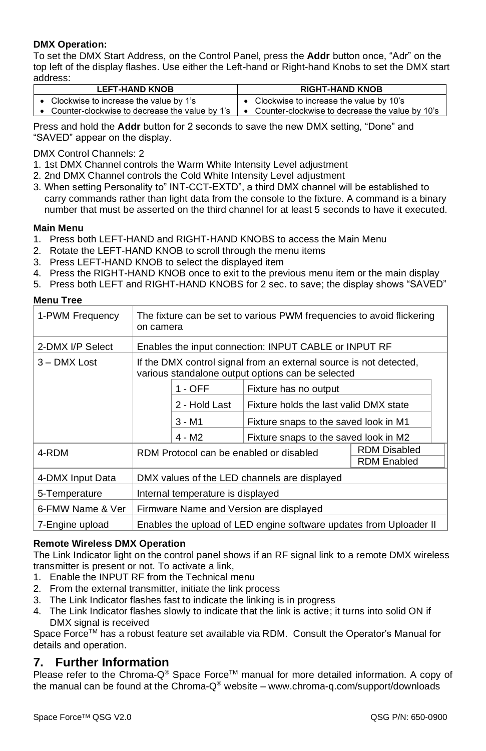#### **DMX Operation:**

To set the DMX Start Address, on the Control Panel, press the **Addr** button once, "Adr" on the top left of the display flashes. Use either the Left-hand or Right-hand Knobs to set the DMX start address:

| <b>LEFT-HAND KNOB</b> |                                        |  | <b>RIGHT-HAND KNOB</b>                                                                                                   |  |  |
|-----------------------|----------------------------------------|--|--------------------------------------------------------------------------------------------------------------------------|--|--|
|                       | Clockwise to increase the value by 1's |  | • Clockwise to increase the value by 10's                                                                                |  |  |
|                       |                                        |  | Counter-clockwise to decrease the value by 1's $\parallel \bullet \quad$ Counter-clockwise to decrease the value by 10's |  |  |

Press and hold the **Addr** button for 2 seconds to save the new DMX setting, "Done" and "SAVED" appear on the display.

DMX Control Channels: 2

- 1. 1st DMX Channel controls the Warm White Intensity Level adjustment
- 2. 2nd DMX Channel controls the Cold White Intensity Level adjustment
- 3. When setting Personality to" INT-CCT-EXTD", a third DMX channel will be established to carry commands rather than light data from the console to the fixture. A command is a binary number that must be asserted on the third channel for at least 5 seconds to have it executed.

#### **Main Menu**

- 1. Press both LEFT-HAND and RIGHT-HAND KNOBS to access the Main Menu
- 2. Rotate the LEFT-HAND KNOB to scroll through the menu items
- 3. Press LEFT-HAND KNOB to select the displayed item
- 4. Press the RIGHT-HAND KNOB once to exit to the previous menu item or the main display
- 5. Press both LEFT and RIGHT-HAND KNOBS for 2 sec. to save; the display shows "SAVED"

#### **Menu Tree**

| 1-PWM Frequency                                                                       | The fixture can be set to various PWM frequencies to avoid flickering<br>on camera                                      |               |                                        |  |  |
|---------------------------------------------------------------------------------------|-------------------------------------------------------------------------------------------------------------------------|---------------|----------------------------------------|--|--|
| 2-DMX I/P Select                                                                      | Enables the input connection: INPUT CABLE or INPUT RF                                                                   |               |                                        |  |  |
| 3 - DMX Lost                                                                          | If the DMX control signal from an external source is not detected,<br>various standalone output options can be selected |               |                                        |  |  |
|                                                                                       |                                                                                                                         | $1 - OFF$     | Fixture has no output                  |  |  |
|                                                                                       |                                                                                                                         | 2 - Hold Last | Fixture holds the last valid DMX state |  |  |
|                                                                                       |                                                                                                                         | 3 - M1        | Fixture snaps to the saved look in M1  |  |  |
|                                                                                       |                                                                                                                         | 4 - M2        | Fixture snaps to the saved look in M2  |  |  |
| 4-RDM                                                                                 | RDM Disabled<br>RDM Protocol can be enabled or disabled<br><b>RDM Enabled</b>                                           |               |                                        |  |  |
|                                                                                       |                                                                                                                         |               |                                        |  |  |
| 4-DMX Input Data                                                                      | DMX values of the LED channels are displayed                                                                            |               |                                        |  |  |
| 5-Temperature                                                                         | Internal temperature is displayed                                                                                       |               |                                        |  |  |
| 6-FMW Name & Ver<br>Firmware Name and Version are displayed                           |                                                                                                                         |               |                                        |  |  |
| Enables the upload of LED engine software updates from Uploader II<br>7-Engine upload |                                                                                                                         |               |                                        |  |  |

#### **Remote Wireless DMX Operation**

The Link Indicator light on the control panel shows if an RF signal link to a remote DMX wireless transmitter is present or not. To activate a link,

- 1. Enable the INPUT RF from the Technical menu
- 2. From the external transmitter, initiate the link process
- 3. The Link Indicator flashes fast to indicate the linking is in progress
- 4. The Link Indicator flashes slowly to indicate that the link is active; it turns into solid ON if DMX signal is received

Space Force™ has a robust feature set available via RDM. Consult the Operator's Manual for details and operation.

#### **7. Further Information**

Please refer to the Chroma-Q<sup>®</sup> Space Force<sup>TM</sup> manual for more detailed information. A copy of the manual can be found at the Chroma-Q® website – [www.chroma-q.com/support/downloads](http://www.chroma-q.com/support/downloads)